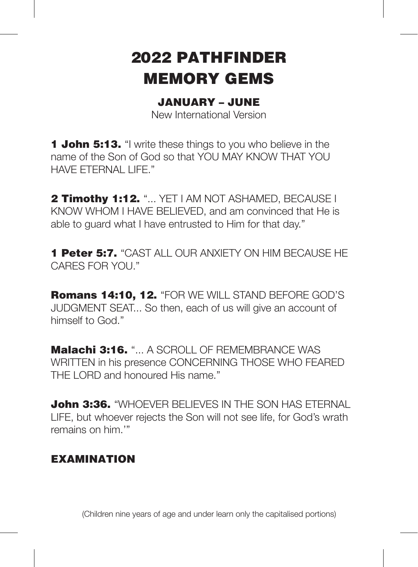# 2022 PATHFINDER MEMORY GEMS

## JANUARY – JUNE

New International Version

**1 John 5:13.** "I write these things to you who believe in the name of the Son of God so that YOU MAY KNOW THAT YOU HAVE ETERNAL LIFE."

2 Timothy 1:12. "... YET I AM NOT ASHAMED. BECAUSE I KNOW WHOM I HAVE BELIEVED, and am convinced that He is able to guard what I have entrusted to Him for that day."

1 Peter 5:7. "CAST ALL OUR ANXIETY ON HIM BECAUSE HE CARES FOR YOU."

Romans 14:10, 12. "FOR WE WILL STAND BEFORE GOD'S JUDGMENT SEAT... So then, each of us will give an account of himself to God."

Malachi 3:16. "... A SCROLL OF REMEMBRANCE WAS WRITTEN in his presence CONCERNING THOSE WHO FEARED THE LORD and honoured His name."

**John 3:36.** "WHOEVER BELIEVES IN THE SON HAS FTFRNAL LIFE, but whoever rejects the Son will not see life, for God's wrath remains on him.'"

## **EXAMINATION**

(Children nine years of age and under learn only the capitalised portions)